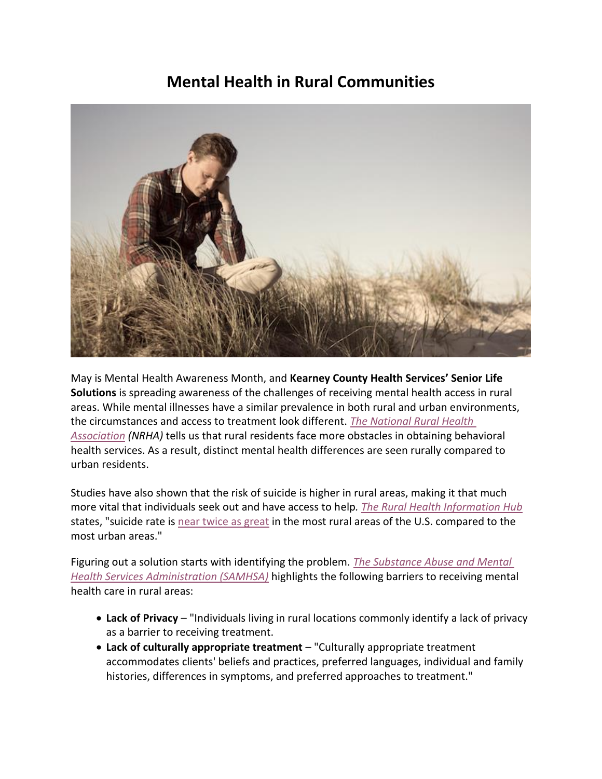## **Mental Health in Rural Communities**



May is Mental Health Awareness Month, and **Kearney County Health Services' Senior Life Solutions** is spreading awareness of the challenges of receiving mental health access in rural areas. While mental illnesses have a similar prevalence in both rural and urban environments, the circumstances and access to treatment look different. *[The National Rural Health](https://www.ruralhealth.us/NRHA/media/Emerge_NRHA/Advocacy/Policy%20documents/The-Future-of-Rural-Behavioral-Health_Feb-2015.pdf)  [Association](https://www.ruralhealth.us/NRHA/media/Emerge_NRHA/Advocacy/Policy%20documents/The-Future-of-Rural-Behavioral-Health_Feb-2015.pdf) (NRHA)* tells us that rural residents face more obstacles in obtaining behavioral health services. As a result, distinct mental health differences are seen rurally compared to urban residents.

Studies have also shown that the risk of suicide is higher in rural areas, making it that much more vital that individuals seek out and have access to help*. The Rural Health Information Hub* states, "suicide rate is [near twice as great](https://www.cdc.gov/nchs/data/databriefs/db330-h.pdf) in the most rural areas of the U.S. compared to the most urban areas."

Figuring out a solution starts with identifying the problem. *[The Substance Abuse and Mental](https://store.samhsa.gov/sites/default/files/d7/priv/sma16-4989.pdf)  [Health Services Administration \(SAMHSA\)](https://store.samhsa.gov/sites/default/files/d7/priv/sma16-4989.pdf)* highlights the following barriers to receiving mental health care in rural areas:

- **Lack of Privacy** "Individuals living in rural locations commonly identify a lack of privacy as a barrier to receiving treatment.
- **Lack of culturally appropriate treatment**  "Culturally appropriate treatment accommodates clients' beliefs and practices, preferred languages, individual and family histories, differences in symptoms, and preferred approaches to treatment."